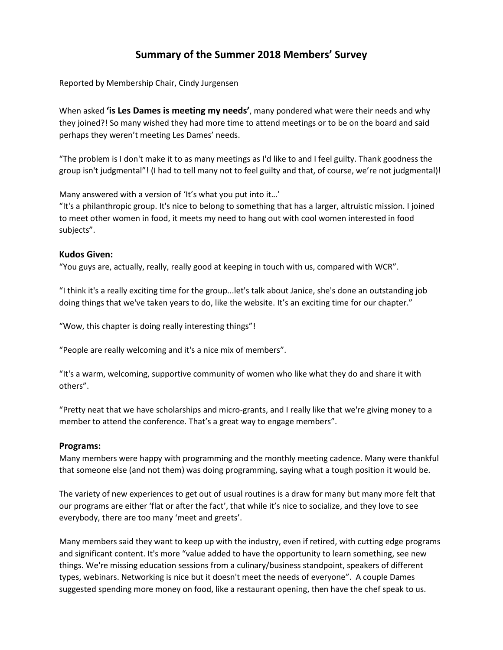# **Summary of the Summer 2018 Members' Survey**

Reported by Membership Chair, Cindy Jurgensen

When asked **'is Les Dames is meeting my needs'**, many pondered what were their needs and why they joined?! So many wished they had more time to attend meetings or to be on the board and said perhaps they weren't meeting Les Dames' needs.

"The problem is I don't make it to as many meetings as I'd like to and I feel guilty. Thank goodness the group isn't judgmental"! (I had to tell many not to feel guilty and that, of course, we're not judgmental)!

Many answered with a version of 'It's what you put into it…'

"It's a philanthropic group. It's nice to belong to something that has a larger, altruistic mission. I joined to meet other women in food, it meets my need to hang out with cool women interested in food subjects".

# **Kudos Given:**

"You guys are, actually, really, really good at keeping in touch with us, compared with WCR".

"I think it's a really exciting time for the group...let's talk about Janice, she's done an outstanding job doing things that we've taken years to do, like the website. It's an exciting time for our chapter."

"Wow, this chapter is doing really interesting things"!

"People are really welcoming and it's a nice mix of members".

"It's a warm, welcoming, supportive community of women who like what they do and share it with others".

"Pretty neat that we have scholarships and micro-grants, and I really like that we're giving money to a member to attend the conference. That's a great way to engage members".

### **Programs:**

Many members were happy with programming and the monthly meeting cadence. Many were thankful that someone else (and not them) was doing programming, saying what a tough position it would be.

The variety of new experiences to get out of usual routines is a draw for many but many more felt that our programs are either 'flat or after the fact', that while it's nice to socialize, and they love to see everybody, there are too many 'meet and greets'.

Many members said they want to keep up with the industry, even if retired, with cutting edge programs and significant content. It's more "value added to have the opportunity to learn something, see new things. We're missing education sessions from a culinary/business standpoint, speakers of different types, webinars. Networking is nice but it doesn't meet the needs of everyone". A couple Dames suggested spending more money on food, like a restaurant opening, then have the chef speak to us.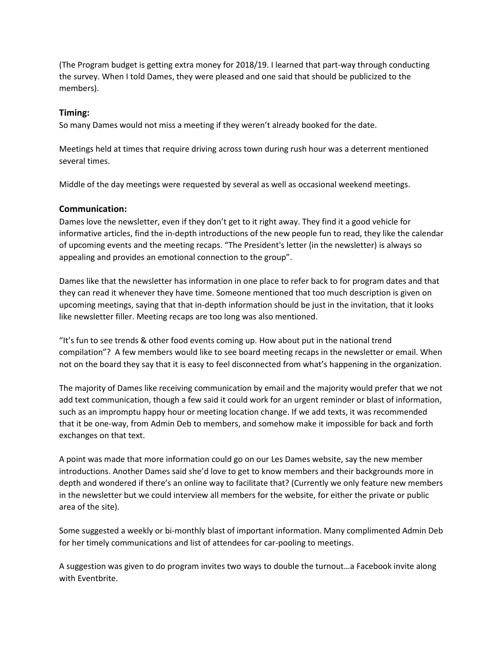(The Program budget is getting extra money for 2018/19. I learned that part-way through conducting the survey. When I told Dames, they were pleased and one said that should be publicized to the members).

# **Timing:**

So many Dames would not miss a meeting if they weren't already booked for the date.

Meetings held at times that require driving across town during rush hour was a deterrent mentioned several times.

Middle of the day meetings were requested by several as well as occasional weekend meetings.

# **Communication:**

Dames love the newsletter, even if they don't get to it right away. They find it a good vehicle for informative articles, find the in-depth introductions of the new people fun to read, they like the calendar of upcoming events and the meeting recaps. "The President's letter (in the newsletter) is always so appealing and provides an emotional connection to the group".

Dames like that the newsletter has information in one place to refer back to for program dates and that they can read it whenever they have time. Someone mentioned that too much description is given on upcoming meetings, saying that that in-depth information should be just in the invitation, that it looks like newsletter filler. Meeting recaps are too long was also mentioned.

"It's fun to see trends & other food events coming up. How about put in the national trend compilation"? A few members would like to see board meeting recaps in the newsletter or email. When not on the board they say that it is easy to feel disconnected from what's happening in the organization.

The majority of Dames like receiving communication by email and the majority would prefer that we not add text communication, though a few said it could work for an urgent reminder or blast of information, such as an impromptu happy hour or meeting location change. If we add texts, it was recommended that it be one-way, from Admin Deb to members, and somehow make it impossible for back and forth exchanges on that text.

A point was made that more information could go on our Les Dames website, say the new member introductions. Another Dames said she'd love to get to know members and their backgrounds more in depth and wondered if there's an online way to facilitate that? (Currently we only feature new members in the newsletter but we could interview all members for the website, for either the private or public area of the site).

Some suggested a weekly or bi-monthly blast of important information. Many complimented Admin Deb for her timely communications and list of attendees for car-pooling to meetings.

A suggestion was given to do program invites two ways to double the turnout…a Facebook invite along with Eventbrite.